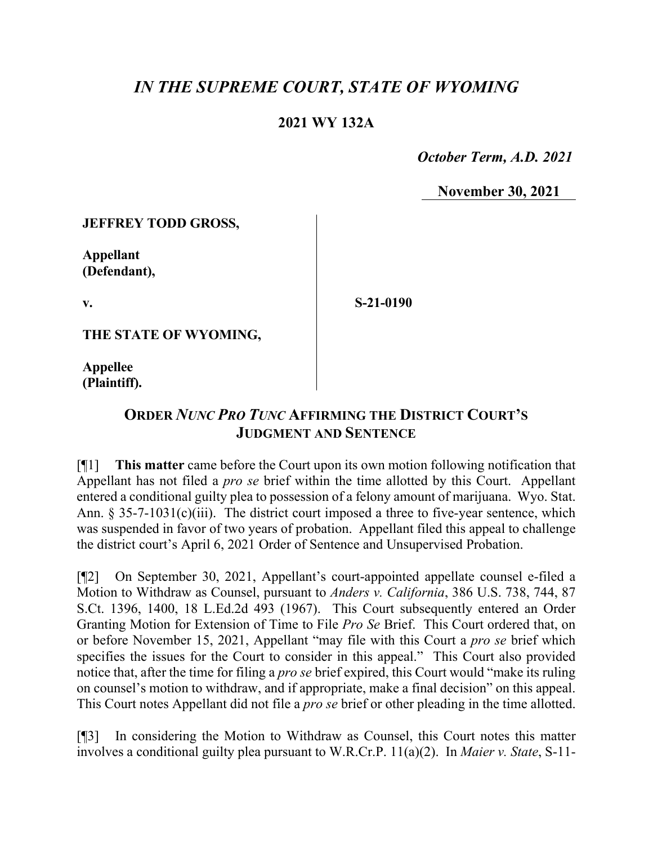## *IN THE SUPREME COURT, STATE OF WYOMING*

## **2021 WY 132A**

 *October Term, A.D. 2021*

**November 30, 2021**

**JEFFREY TODD GROSS,**

**Appellant (Defendant),**

**v.**

**S-21-0190**

**THE STATE OF WYOMING,**

**Appellee (Plaintiff).**

## **ORDER** *NUNC PRO TUNC* **AFFIRMING THE DISTRICT COURT'S JUDGMENT AND SENTENCE**

[¶1] **This matter** came before the Court upon its own motion following notification that Appellant has not filed a *pro se* brief within the time allotted by this Court. Appellant entered a conditional guilty plea to possession of a felony amount of marijuana. Wyo. Stat. Ann. § 35-7-1031(c)(iii). The district court imposed a three to five-year sentence, which was suspended in favor of two years of probation. Appellant filed this appeal to challenge the district court's April 6, 2021 Order of Sentence and Unsupervised Probation.

[¶2] On September 30, 2021, Appellant's court-appointed appellate counsel e-filed a Motion to Withdraw as Counsel, pursuant to *Anders v. California*, 386 U.S. 738, 744, 87 S.Ct. 1396, 1400, 18 L.Ed.2d 493 (1967). This Court subsequently entered an Order Granting Motion for Extension of Time to File *Pro Se* Brief. This Court ordered that, on or before November 15, 2021, Appellant "may file with this Court a *pro se* brief which specifies the issues for the Court to consider in this appeal." This Court also provided notice that, after the time for filing a *pro se* brief expired, this Court would "make its ruling on counsel's motion to withdraw, and if appropriate, make a final decision" on this appeal. This Court notes Appellant did not file a *pro se* brief or other pleading in the time allotted.

[¶3] In considering the Motion to Withdraw as Counsel, this Court notes this matter involves a conditional guilty plea pursuant to W.R.Cr.P. 11(a)(2). In *Maier v. State*, S-11-